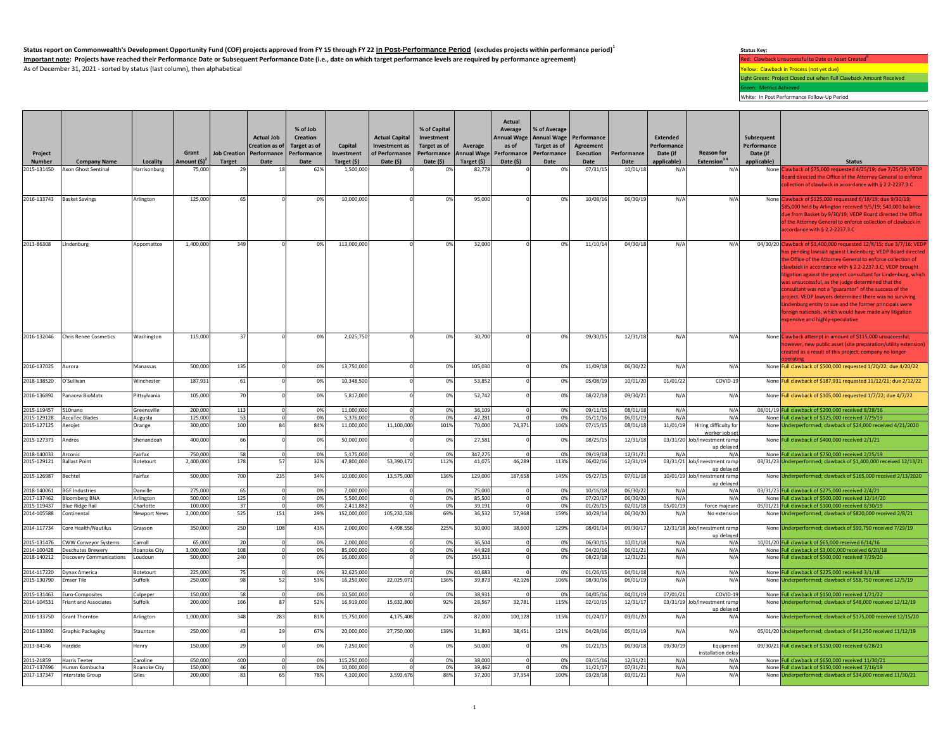**Status report on Commonwealth's Development Opportunity Fund (COF) projects approved from FY 15 through FY 22 in Post-Performance Period (excludes projects within performance period)<sup>1</sup>** Important note: Projects have reached their Performance Date or Subsequent Performance Date (i.e., date on which target performance levels are required by performance agreement) Red: Clawback Unsuccessful to Date or Asset As of December 31, 2021 - sorted by status (last column), then alphabetical  $\overline{Y}$  and  $\overline{Y}$  and  $\overline{Y}$  and  $\overline{Y}$  and  $\overline{Y}$  and  $\overline{Y}$  and  $\overline{Y}$  and  $\overline{Y}$  and  $\overline{Y}$  and  $\overline{Y}$  and  $\overline{Y}$  and  $\over$ 

## **Status Key:**

Light Green: Project Closed out when Full Clawback Amount Received

Green: Metrics Achieved White: In Post Performance Follow-Up Period

| Project<br><b>Number</b> | <b>Company Name</b>               | Locality        | Grant<br>Amount $(5)^2$ | <b>Job Creation</b><br>Target | <b>Actual Job</b><br><b>Creation as of</b><br>Performance<br>Date | % of Job<br>Creation<br>Target as of<br>Performance<br>Date | Capital<br>Investment<br>Target (\$) | <b>Actual Capital</b><br>Investment as<br>of Performance<br>Date $(5)$ | % of Capital<br>Investment<br>Target as of<br>Performance<br>Date (\$) | Average<br><b>Annual Wage</b><br>Target (\$) | Actual<br>Average<br>as of<br>Performance<br>Date (\$) | % of Average<br>Annual Wage Annual Wage<br>Target as of<br>Performance<br>Date | Performance<br>Agreement<br><b>Execution</b><br>Date | Performance<br>Date | <b>Extended</b><br>Performance<br>Date (if<br>applicable) | <b>Reason for</b><br>Extension <sup>34</sup> | Subsequent<br>Performance<br>Date (if<br>applicable) | <b>Status</b>                                                                                                                                                                                                                                                                                                                                                                                                                                                                                                                                                                                                                                                 |
|--------------------------|-----------------------------------|-----------------|-------------------------|-------------------------------|-------------------------------------------------------------------|-------------------------------------------------------------|--------------------------------------|------------------------------------------------------------------------|------------------------------------------------------------------------|----------------------------------------------|--------------------------------------------------------|--------------------------------------------------------------------------------|------------------------------------------------------|---------------------|-----------------------------------------------------------|----------------------------------------------|------------------------------------------------------|---------------------------------------------------------------------------------------------------------------------------------------------------------------------------------------------------------------------------------------------------------------------------------------------------------------------------------------------------------------------------------------------------------------------------------------------------------------------------------------------------------------------------------------------------------------------------------------------------------------------------------------------------------------|
| 2015-131450              | Axon Ghost Sentinal               | Harrisonburg    | 75,000                  | 29                            | 18                                                                | 62%                                                         | 1,500,000                            |                                                                        | 0%                                                                     | 82,778                                       |                                                        | 0%                                                                             | 07/31/15                                             | 10/01/18            | N/A                                                       | $N/\rho$                                     |                                                      | None Clawback of \$75,000 requested 4/25/19; due 7/25/19; VEDP                                                                                                                                                                                                                                                                                                                                                                                                                                                                                                                                                                                                |
|                          |                                   |                 |                         |                               |                                                                   |                                                             |                                      |                                                                        |                                                                        |                                              |                                                        |                                                                                |                                                      |                     |                                                           |                                              |                                                      | loard directed the Office of the Attorney General to enforce<br>lection of clawback in accordance with § 2.2-2237.3.C                                                                                                                                                                                                                                                                                                                                                                                                                                                                                                                                         |
|                          | 2016-133743 Basket Savings        | Arlington       | 125,000                 | 65                            |                                                                   | 0%                                                          | 10,000,000                           |                                                                        | 0%                                                                     | 95,000                                       |                                                        | 0%                                                                             | 10/08/16                                             | 06/30/19            | N/A                                                       | N/A                                          |                                                      | None Clawback of \$125,000 requested 6/18/19; due 9/30/19;<br>85,000 held by Arlington received 9/5/19; \$40,000 balance<br>ue from Basket by 9/30/19; VEDP Board directed the Office<br>of the Attorney General to enforce collection of clawback in<br>ccordance with § 2.2-2237.3.C                                                                                                                                                                                                                                                                                                                                                                        |
| 2013-86308               | Lindenburg                        | Appomattox      | 1,400,000               | 349                           |                                                                   | 0%                                                          | 113,000,000                          |                                                                        | 0%                                                                     | 32,000                                       |                                                        | 0%                                                                             | 11/10/14                                             | 04/30/18            | N/A                                                       | N/A                                          |                                                      | 04/30/20 Clawback of \$1,400,000 requested 12/8/15; due 3/7/16; VEDP<br>as pending lawsuit against Lindenburg; VEDP Board directed<br>ne Office of the Attorney General to enforce collection of<br>awback in accordance with § 2.2-2237.3.C; VEDP brought<br>tigation against the project consultant for Lindenburg, which<br>was unsuccessful, as the judge determined that the<br>onsultant was not a "guarantor" of the success of the<br>project. VEDP lawyers determined there was no surviving<br>indenburg entity to sue and the former principals were<br>oreign nationals, which would have made any litigation<br>expensive and highly-speculative |
|                          | 2016-132046 Chris Renee Cosmetics | Washington      | 115,000                 | 37                            |                                                                   | 0%                                                          | 2,025,750                            |                                                                        | 0%                                                                     | 30,700                                       |                                                        | 0%                                                                             | 09/30/15                                             | 12/31/18            | N/A                                                       | N/A                                          |                                                      | None Clawback attempt in amount of \$115,000 unsuccessful;<br>owever, new public asset (site preparation/utility extension)<br>reated as a result of this project; company no longer<br><b>perating</b>                                                                                                                                                                                                                                                                                                                                                                                                                                                       |
| 2016-137025              | Aurora                            | Manassas        | 500,000                 | 135                           |                                                                   | 0%                                                          | 13,750,000                           |                                                                        | 0%                                                                     | 105,030                                      |                                                        | 0%                                                                             | 11/09/18                                             | 06/30/22            | N/A                                                       | N/A                                          |                                                      | None Full clawback of \$500,000 requested 1/20/22; due 4/20/22                                                                                                                                                                                                                                                                                                                                                                                                                                                                                                                                                                                                |
| 2018-138520              | O'Sullivan                        | Winchester      | 187,931                 | 61                            |                                                                   | 0%                                                          | 10,348,500                           |                                                                        | 0%                                                                     | 53,852                                       |                                                        | 0%                                                                             | 05/08/19                                             | 10/01/20            | 01/01/22                                                  | COVID-19                                     |                                                      | None Full clawback of \$187,931 requested 11/12/21; due 2/12/22                                                                                                                                                                                                                                                                                                                                                                                                                                                                                                                                                                                               |
| 2016-136892              | Panacea BioMatx                   | Pittsylvania    | 105,000                 | 70                            |                                                                   | 0%                                                          | 5,817,000                            |                                                                        | 0%                                                                     | 52,742                                       |                                                        | 0%                                                                             | 08/27/18                                             | 09/30/21            | N/A                                                       | N/A                                          |                                                      | None Full clawback of \$105,000 requested 1/7/22; due 4/7/22                                                                                                                                                                                                                                                                                                                                                                                                                                                                                                                                                                                                  |
| 2015-119457              | 510nano                           | Greensville     | 200,000                 | 113                           | $\Omega$                                                          | 0%                                                          | 11,000,000                           | $\Omega$                                                               | 0%                                                                     | 36,109                                       | $\Omega$                                               | 0%                                                                             | 09/11/15                                             | 08/01/18            | N/A                                                       | $N/\rho$                                     |                                                      | 08/01/19 Full clawback of \$200,000 received 8/28/16                                                                                                                                                                                                                                                                                                                                                                                                                                                                                                                                                                                                          |
| 2015-129128              | <b>AccuTec Blades</b>             | Augusta         | 125,000                 | 53                            | $\Omega$                                                          | 0%                                                          | 5.376.000                            |                                                                        | 0%                                                                     | 47.281                                       | $\Omega$                                               | 0%                                                                             | 05/11/16                                             | 06/01/19            | N/A                                                       | $N/\rho$                                     |                                                      | None Full clawback of \$125,000 received 7/29/19                                                                                                                                                                                                                                                                                                                                                                                                                                                                                                                                                                                                              |
| 2015-127125              | Aerojet                           | Orange          | 300,000                 | 100                           |                                                                   | 84%                                                         | 11,000,000                           | 11,100,000                                                             | 101%                                                                   | 70,000                                       | 74,371                                                 | 106%                                                                           | 07/15/15                                             | 08/01/18            | 11/01/19                                                  | Hiring difficulty for<br>worker job se       |                                                      | None Underperformed; clawback of \$24,000 received 4/21/2020                                                                                                                                                                                                                                                                                                                                                                                                                                                                                                                                                                                                  |
| 2015-127373              | Andros                            | Shenandoah      | 400,000                 | 66                            |                                                                   | 0%                                                          | 50,000,000                           |                                                                        | 0%                                                                     | 27,581                                       |                                                        | 0%                                                                             | 08/25/15                                             | 12/31/18            |                                                           | 03/31/20 Job/investment ramp<br>up delaye    |                                                      | None Full clawback of \$400,000 received 2/1/21                                                                                                                                                                                                                                                                                                                                                                                                                                                                                                                                                                                                               |
| 2018-140033              | Arconic                           | Fairfax         | 750,000                 | 58                            | $\Omega$                                                          | 0%                                                          | 5.175.000                            |                                                                        | 0%                                                                     | 347.275                                      |                                                        | 0%                                                                             | 09/19/18                                             | 12/31/21            | N/A                                                       | N/A                                          |                                                      | None Full clawback of \$750,000 received 2/25/19                                                                                                                                                                                                                                                                                                                                                                                                                                                                                                                                                                                                              |
| 2015-129121              | <b>Ballast Point</b>              | Botetourt       | 2,400,000               | 178                           | 57                                                                | 32%                                                         | 47,800,000                           | 53,390,172                                                             | 112%                                                                   | 41,075                                       | 46,289                                                 | 113%                                                                           | 06/02/16                                             | 12/31/19            |                                                           | 03/31/21 Job/investment ramp<br>up delayed   |                                                      | 03/31/23 Underperformed; clawback of \$1,400,000 received 12/13/21                                                                                                                                                                                                                                                                                                                                                                                                                                                                                                                                                                                            |
| 2015-126987              | Bechtel                           | Fairfax         | 500,000                 | 700                           | 235                                                               | 34%                                                         | 10,000,000                           | 13,575,000                                                             | 136%                                                                   | 129,000                                      | 187,658                                                | 145%                                                                           | 05/27/15                                             | 07/01/18            |                                                           | 10/01/19 Job/investment ramp<br>up delayer   |                                                      | None Underperformed; clawback of \$165,000 received 2/13/2020                                                                                                                                                                                                                                                                                                                                                                                                                                                                                                                                                                                                 |
|                          | 2018-140061 BGF Industries        | <b>Danville</b> | 275,000                 | 65                            | $\mathbf 0$                                                       | 0%                                                          | 7,000,000                            |                                                                        | 0%                                                                     | 75,000                                       | $\Omega$                                               | 0%                                                                             | 10/16/18                                             | 06/30/22            | N/A                                                       | $N/\rho$                                     |                                                      | 03/31/23 Full clawback of \$275,000 received 2/4/21                                                                                                                                                                                                                                                                                                                                                                                                                                                                                                                                                                                                           |
| 2017-137462              | <b>Bloomberg BNA</b>              | Arlington       | 500,000                 | 125                           | $\mathbf 0$                                                       | 0%                                                          | 5,500,000                            |                                                                        | 0%                                                                     | 85,500                                       |                                                        | 0%                                                                             | 07/20/17                                             | 06/30/20            | N/A                                                       | N/A                                          |                                                      | None Full clawback of \$500,000 received 12/14/20                                                                                                                                                                                                                                                                                                                                                                                                                                                                                                                                                                                                             |
|                          | 2015-119437 Blue Ridge Rail       | Charlotte       | 100,000                 | 37                            | $\Omega$                                                          | 0%                                                          | 2,411,882                            |                                                                        | 0%                                                                     | 39,191                                       | $\Omega$                                               | 0%                                                                             | 01/26/15                                             | 02/01/18            | 05/01/19                                                  | Force majeure                                |                                                      | 05/01/21 Full clawback of \$100,000 received 8/30/19                                                                                                                                                                                                                                                                                                                                                                                                                                                                                                                                                                                                          |
| 2014-105588              | Continental                       | Newnort News    | 2,000,000               | 525                           | 151                                                               | 29%                                                         | 152,000,000                          | 105,232,528                                                            | 69%                                                                    | 36,532                                       | 57,968                                                 | 159%                                                                           | 10/28/14                                             | 06/30/20            | N/A                                                       | No extension                                 |                                                      | None Underperformed; clawback of \$820,000 received 2/8/21                                                                                                                                                                                                                                                                                                                                                                                                                                                                                                                                                                                                    |
| 2014-117734              | Core Health/Nautilus              | Grayson         | 350,000                 | 250                           | 108                                                               | 43%                                                         | 2,000,000                            | 4.498.556                                                              | 225%                                                                   | 30,000                                       | 38,600                                                 | 129%                                                                           | 08/01/14                                             | 09/30/17            |                                                           | 12/31/18 Job/investment ramp<br>up delayer   |                                                      | None Underperformed; clawback of \$99,750 received 7/29/19                                                                                                                                                                                                                                                                                                                                                                                                                                                                                                                                                                                                    |
| 2015-131476              | <b>CWW Conveyor Systems</b>       | Carroll         | 65,000                  | 20                            | $\Omega$                                                          | 0%                                                          | 2,000,000                            |                                                                        | 0%                                                                     | 36.504                                       | $\Omega$                                               | 0%                                                                             | 06/30/15                                             | 10/01/18            | N/A                                                       | $N/\rho$                                     |                                                      | 10/01/20 Full clawback of \$65,000 received 6/14/16                                                                                                                                                                                                                                                                                                                                                                                                                                                                                                                                                                                                           |
| 2014-100428              | <b>Deschutes Brewerv</b>          | Roanoke City    | 3,000,000               | 108                           | $\Omega$                                                          | 0%                                                          | 85,000,000                           | $\Omega$                                                               | 0%                                                                     | 44,928                                       | $\Omega$                                               | 0%                                                                             | 04/20/16                                             | 06/01/21            | N/A                                                       | N/A                                          |                                                      | None Full clawback of \$3,000,000 received 6/20/18                                                                                                                                                                                                                                                                                                                                                                                                                                                                                                                                                                                                            |
| 2018-140212              | <b>Discovery Communications</b>   | Loudoun         | 500,000                 | 240                           |                                                                   | 0%                                                          | 16,000,000                           |                                                                        | 0%                                                                     | 150,331                                      |                                                        | 0%                                                                             | 08/23/18                                             | 12/31/21            | N/A                                                       | N/A                                          |                                                      | None Full clawback of \$500,000 received 7/29/20                                                                                                                                                                                                                                                                                                                                                                                                                                                                                                                                                                                                              |
|                          | 2014-117220 Dynax America         | Botetourt       | 225,000                 | 75                            | $\Omega$                                                          | 0%                                                          | 32,625,000                           |                                                                        | 0%                                                                     | 40,683                                       |                                                        | 0%                                                                             | 01/26/15                                             | 04/01/18            | N/A                                                       | N/A                                          |                                                      | None Full clawback of \$225,000 received 3/1/18                                                                                                                                                                                                                                                                                                                                                                                                                                                                                                                                                                                                               |
| 2015-130790              | <b>Emser Tile</b>                 | Suffolk         | 250,000                 | 98                            | 52                                                                | 53%                                                         | 16,250,000                           | 22,025,071                                                             | 136%                                                                   | 39,873                                       | 42,126                                                 | 106%                                                                           | 08/30/16                                             | 06/01/19            | N/A                                                       | N/A                                          |                                                      | None Underperformed; clawback of \$58,750 received 12/5/19                                                                                                                                                                                                                                                                                                                                                                                                                                                                                                                                                                                                    |
|                          | 2015-131463 Euro-Composites       | Culpeper        | 150,000                 | 58                            | 0                                                                 | 0%                                                          | 10,500,000                           |                                                                        | 0%                                                                     | 38,931                                       | $\Omega$                                               | 0%                                                                             | 04/05/16                                             | 04/01/19            | 07/01/21                                                  | COVID-19                                     |                                                      | None Full clawback of \$150,000 received 1/21/22                                                                                                                                                                                                                                                                                                                                                                                                                                                                                                                                                                                                              |
| 2014-104531              | <b>Friant and Associates</b>      | Suffolk         | 200,000                 | 166                           | 87                                                                | 52%                                                         | 16,919,000                           | 15,632,800                                                             | 92%                                                                    | 28,567                                       | 32,781                                                 | 115%                                                                           | 02/10/15                                             | 12/31/17            |                                                           | 03/31/19 Job/investment ramp<br>up delayed   |                                                      | None Underperformed: clawback of \$48,000 received 12/12/19                                                                                                                                                                                                                                                                                                                                                                                                                                                                                                                                                                                                   |
| 2016-133750              | <b>Grant Thornton</b>             | Arlington       | 1,000,000               | 348                           | 283                                                               | 81%                                                         | 15,750,000                           | 4,175,408                                                              | 27%                                                                    | 87,000                                       | 100,128                                                | 115%                                                                           | 01/24/17                                             | 03/01/20            | N/A                                                       | $N/\rho$                                     |                                                      | None Underperformed; clawback of \$175,000 received 12/15/20                                                                                                                                                                                                                                                                                                                                                                                                                                                                                                                                                                                                  |
| 2016-133892              | <b>Graphic Packaging</b>          | Staunton        | 250,000                 | 43                            | 29                                                                | 67%                                                         | 20,000,000                           | 27,750,000                                                             | 139%                                                                   | 31,893                                       | 38,451                                                 | 121%                                                                           | 04/28/16                                             | 05/01/19            | N/A                                                       | N/A                                          |                                                      | 05/01/20 Underperformed; clawback of \$41,250 received 11/12/19                                                                                                                                                                                                                                                                                                                                                                                                                                                                                                                                                                                               |
| 2013-84146               | Hardide                           | Henry           | 150,000                 | 29                            | $\Omega$                                                          | 0%                                                          | 7,250,000                            |                                                                        | 0%                                                                     | 50,000                                       |                                                        | 0%                                                                             | 01/21/15                                             | 06/30/18            | 09/30/19                                                  | Equipmen<br>installation dela                |                                                      | 09/30/21 Full clawback of \$150,000 received 6/28/21                                                                                                                                                                                                                                                                                                                                                                                                                                                                                                                                                                                                          |
| 2011-21859               | <b>Harris Teeter</b>              | Caroline        | 650,000                 | 400                           | $\Omega$                                                          | 0%                                                          | 115,250,000                          |                                                                        | 0%                                                                     | 38,000                                       |                                                        | 0%                                                                             | 03/15/16                                             | 12/31/21            | N/A                                                       | N/A                                          |                                                      | None Full clawback of \$650,000 received 11/30/21                                                                                                                                                                                                                                                                                                                                                                                                                                                                                                                                                                                                             |
| 2017-137696              | Humm Kombucha                     | Roanoke City    | 150,000                 | 46                            | $\Omega$                                                          | 0%                                                          | 10,000,000                           |                                                                        | 0%                                                                     | 39,462                                       |                                                        | በ%                                                                             | 11/21/17                                             | 07/31/21            | N/A                                                       | N/A                                          |                                                      | None Full clawback of \$150,000 received 7/16/19                                                                                                                                                                                                                                                                                                                                                                                                                                                                                                                                                                                                              |
| 2017-137347              | Interstate Group                  | Giles           | 200,000                 | 83                            | 65                                                                | 78%                                                         | 4,100,000                            | 3,593,676                                                              | 88%                                                                    | 37,200                                       | 37,354                                                 | 100%                                                                           | 03/28/18                                             | 03/01/21            | N/A                                                       | N/A                                          |                                                      | None Underperformed; clawback of \$34,000 received 11/30/21                                                                                                                                                                                                                                                                                                                                                                                                                                                                                                                                                                                                   |
|                          |                                   |                 |                         |                               |                                                                   |                                                             |                                      |                                                                        |                                                                        |                                              |                                                        |                                                                                |                                                      |                     |                                                           |                                              |                                                      |                                                                                                                                                                                                                                                                                                                                                                                                                                                                                                                                                                                                                                                               |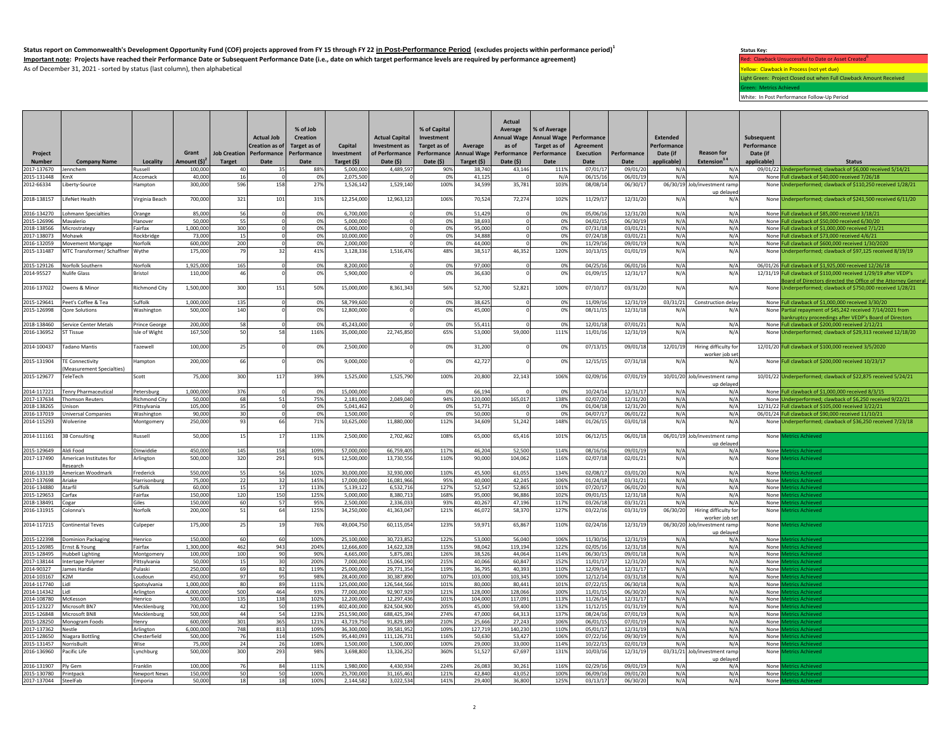**Status report on Commonwealth's Development Opportunity Fund (COF) projects approved from FY 15 through FY 22 in Post-Performance Period (excludes projects within performance period)<sup>1</sup>** Important note: Projects have reached their Performance Date or Subsequent Performance Date (i.e., date on which target performance levels are required by performance agreement) As of December 31, 2021 - sorted by status (last column), then alphabetical  $\overline{Y}$  and  $\overline{Y}$  and  $\overline{Y}$  and  $\overline{Y}$  and  $\overline{Y}$  and  $\overline{Y}$  and  $\overline{Y}$  and  $\overline{Y}$  and  $\overline{Y}$  and  $\overline{Y}$  and  $\overline{Y}$  and  $\over$ 

**Status Key:** Light Green: Project Closed out when Full Clawback Amount Received Green: Metrics Achieved

White: In Post Performance Follow-Up Period

| Project<br>Number          | <b>Company Name</b>                                        | Locality                | Grant<br>Amount $(5)^2$ | <b>Target</b> | <b>Actual Job</b><br>Creation as of<br>Job Creation   Performance  <br>Date | % of Job<br><b>Creation</b><br>Target as of<br>Performance<br>Date | Capital<br>Investment<br>Target (\$) | <b>Actual Capital</b><br>Investment as<br>of Performance<br>Date $(5)$ | % of Capital<br>Investment<br>Target as of<br>Performance<br>Date (\$) | Average<br>Annual Wage Performance<br>Target (\$) | Actual<br>Average<br><b>Annual Wage</b><br>as of<br>Date (\$) | % of Average<br><b>Annual Wage</b><br>Target as of<br>Performance<br>Date | Performance<br><b>Agreement</b><br>Execution<br>Date | Performance<br>Date  | <b>Extended</b><br>Performance<br>Date (if<br>applicable) | <b>Reason for</b><br>Extension <sup>34</sup> | Subsequent<br>Performance<br>Date (if<br>applicable) | <b>Status</b>                                                                                                                      |
|----------------------------|------------------------------------------------------------|-------------------------|-------------------------|---------------|-----------------------------------------------------------------------------|--------------------------------------------------------------------|--------------------------------------|------------------------------------------------------------------------|------------------------------------------------------------------------|---------------------------------------------------|---------------------------------------------------------------|---------------------------------------------------------------------------|------------------------------------------------------|----------------------|-----------------------------------------------------------|----------------------------------------------|------------------------------------------------------|------------------------------------------------------------------------------------------------------------------------------------|
| 2017-137670                | lennchem                                                   | Russell                 | 100,000                 | 40            | 35                                                                          | 88%                                                                | 5.000.000                            | 4.489.597                                                              | 90%                                                                    | 38.740                                            | 43,146                                                        | 111%                                                                      | 07/01/17                                             | 09/01/20             | N/A                                                       | N/A                                          |                                                      | 09/01/22 Underperformed; clawback of \$6,000 received 5/14/21                                                                      |
| 2015-131448                | KmX                                                        | Accomack                | 40.000                  | 16            | $\Omega$                                                                    | 0%                                                                 | 2,075,500                            |                                                                        | 0%                                                                     | 41,125                                            |                                                               | N/A                                                                       | 06/15/16                                             | 06/01/19             | N/A                                                       | N/A                                          |                                                      | None Full clawback of \$40,000 received 7/26/18                                                                                    |
| 2012-66334                 | Liberty-Source                                             | Hampton                 | 300,000                 | 596           | 158                                                                         | 27%                                                                | 1,526,142                            | 1,529,140                                                              | 100%                                                                   | 34,599                                            | 35,781                                                        | 103%                                                                      | 08/08/14                                             | 06/30/17             |                                                           | 06/30/19 Job/investment ramp                 |                                                      | None Underperformed; clawback of \$110,250 received 1/28/21                                                                        |
|                            |                                                            |                         |                         |               |                                                                             |                                                                    |                                      |                                                                        |                                                                        |                                                   |                                                               |                                                                           |                                                      |                      |                                                           | up delayed                                   |                                                      |                                                                                                                                    |
| 2018-138157                | LifeNet Health                                             | Virginia Beach          | 700,000                 | 321           | 101                                                                         | 31%                                                                | 12,254,000                           | 12,963,123                                                             | 106%                                                                   | 70,524                                            | 72,274                                                        | 102%                                                                      | 11/29/17                                             | 12/31/20             | N/A                                                       |                                              |                                                      | None Underperformed; clawback of \$241,500 received 6/11/20                                                                        |
|                            |                                                            |                         |                         |               | $\Omega$                                                                    | 0%                                                                 |                                      | $\Omega$                                                               | 0%                                                                     |                                                   |                                                               | 0%                                                                        | 05/06/16                                             |                      | N/A                                                       | N/A                                          |                                                      | None Full clawback of \$85,000 received 3/18/21                                                                                    |
| 2016-134270<br>2015-126996 | <b>Lohmann Specialties</b><br>Mavalerio                    | Orange<br>Hanover       | 85,000<br>50,000        | 56<br>55      | $\Omega$                                                                    | 0%                                                                 | 6,700,000<br>5,000,000               | $\Omega$                                                               | 0%                                                                     | 51,429<br>38,693                                  |                                                               | 0%                                                                        | 04/02/15                                             | 12/31/20<br>06/30/19 | N/A                                                       | N/A                                          |                                                      | None Full clawback of \$50,000 received 6/30/20                                                                                    |
| 2018-138566                | Microstrategy                                              | Fairfax                 | 1.000.000               | 300           | $\Omega$                                                                    | 0%                                                                 | 6.000.000                            | $\Omega$                                                               | 0%                                                                     | 95.000                                            |                                                               | 0%                                                                        | 07/31/18                                             | 03/01/21             | N/A                                                       | N/A                                          |                                                      | None Full clawback of \$1,000,000 received 7/1/21                                                                                  |
| 2017-138073                | Mohawk                                                     | Rockbridge              | 73.000                  | 15            | $\Omega$                                                                    | 0%                                                                 | 10.000.000                           | $\Omega$                                                               | 0%                                                                     | 34.888                                            | $\Omega$                                                      | 0%                                                                        | 07/24/18                                             | 03/01/21             | N/A                                                       | N/A                                          |                                                      | None Full clawback of \$73,000 received 4/6/21                                                                                     |
| 2016-132059                | Movement Mortgage                                          | Norfolk                 | 600.000                 | 200           | $\Omega$                                                                    | 0%                                                                 | 2.000.000                            | $\Omega$                                                               | 0%                                                                     | 44.000                                            |                                                               | 0%                                                                        | 11/29/16                                             | 09/01/19             | N/A                                                       | N/A                                          |                                                      | None Full clawback of \$600,000 received 1/30/2020                                                                                 |
| 2015-131487                | MTC Transformer/ Schaffner Wythe                           |                         | 175,000                 | 79            | 32                                                                          | 41%                                                                | 3,128,336                            | 1,516,476                                                              | 48%                                                                    | 38,517                                            | 46,352                                                        | 120%                                                                      | 10/13/15                                             | 01/01/19             | N/A                                                       | N/A                                          |                                                      | None Underperformed; clawback of \$97,125 received 8/19/19                                                                         |
|                            |                                                            |                         |                         |               |                                                                             |                                                                    |                                      |                                                                        |                                                                        |                                                   |                                                               |                                                                           |                                                      |                      |                                                           |                                              |                                                      |                                                                                                                                    |
| 2015-129126                | Norfolk Southern                                           | Norfolk                 | 1,925,000               | 165<br>46     | $\mathbf{0}$                                                                | 0%                                                                 | 8,200,000                            |                                                                        | 0%                                                                     | 97,000                                            |                                                               | 0%                                                                        | 04/25/16                                             | 06/01/16             | N/A                                                       | N/A                                          |                                                      | 06/01/26 Full clawback of \$1,925,000 received 12/26/18                                                                            |
| 2014-95527                 | <b>Nulife Glass</b>                                        | Bristol                 | 110,000                 |               |                                                                             | 0%                                                                 | 5,900,000                            |                                                                        | 0%                                                                     | 36,630                                            |                                                               | 0%                                                                        | 01/09/15                                             | 12/31/17             | N/A                                                       | N/A                                          |                                                      | 12/31/19 Full clawback of \$110,000 received 1/29/19 after VEDP's<br>oard of Directors directed the Office of the Attorney General |
| 2016-137022                | Owens & Minor                                              | <b>Richmond City</b>    | 1,500,000               | 300           | 151                                                                         | 50%                                                                | 15,000,000                           | 8,361,343                                                              | 56%                                                                    | 52,700                                            | 52,821                                                        | 100%                                                                      | 07/10/17                                             | 03/31/20             | N/A                                                       | N/A                                          |                                                      | None Underperformed: clawback of \$750,000 received 1/28/21                                                                        |
|                            |                                                            |                         |                         |               |                                                                             |                                                                    |                                      |                                                                        |                                                                        |                                                   |                                                               |                                                                           |                                                      |                      |                                                           |                                              |                                                      |                                                                                                                                    |
| 2015-129641                | Peet's Coffee & Tea                                        | Suffolk                 | 1.000.000               | 135           | $\Omega$                                                                    | 0%                                                                 | 58,799,600                           |                                                                        | 0%                                                                     | 38.625                                            |                                                               | 0%                                                                        | 11/09/16                                             | 12/31/19             | 03/31/21                                                  | Construction delay                           |                                                      | None Full clawback of \$1,000,000 received 3/30/20                                                                                 |
| 2015-126998                | <b>Qore Solutions</b>                                      | Washington              | 500,000                 | 140           |                                                                             | 0%                                                                 | 12,800,000                           |                                                                        | 0%                                                                     | 45,000                                            |                                                               | 0%                                                                        | 08/11/15                                             | 12/31/18             | N/A                                                       | N/A                                          |                                                      | None Partial repayment of \$45,242 received 7/14/2021 from                                                                         |
|                            |                                                            |                         |                         |               |                                                                             |                                                                    |                                      |                                                                        |                                                                        |                                                   |                                                               |                                                                           |                                                      |                      |                                                           |                                              |                                                      | ankruptcy proceedings after VEDP's Board of Directors                                                                              |
| 2018-138460                | Service Center Metals<br><b>ST Tissue</b>                  | Prince George           | 200,000                 | 58<br>50      | $\mathbf 0$<br>58                                                           | 0%                                                                 | 45,243,000                           | 22,745,850                                                             | 0%<br>65%                                                              | 55,411                                            | 59,000                                                        | 0%                                                                        | 12/01/18                                             | 07/01/21             | N/A                                                       | N/A<br>N/A                                   |                                                      | None Full clawback of \$200,000 received 2/12/21                                                                                   |
| 2016-136952                |                                                            | Isle of Wight           | 167,500                 |               |                                                                             | 116%                                                               | 35,000,000                           |                                                                        |                                                                        | 53,000                                            |                                                               | 111%                                                                      | 11/01/16                                             | 12/31/19             | N/A                                                       |                                              |                                                      | None Underperformed; clawback of \$29,313 received 12/18/20                                                                        |
| 2014-100437                | <b>Tadano Mantis</b>                                       | Tazewell                | 100,000                 | 25            |                                                                             | 0%                                                                 | 2,500,000                            |                                                                        | 0%                                                                     | 31,200                                            |                                                               | 0%                                                                        | 07/13/15                                             | 09/01/18             | 12/01/19                                                  | Hiring difficulty for                        |                                                      | 12/01/20 Full clawback of \$100,000 received 3/5/2020                                                                              |
|                            |                                                            |                         |                         |               |                                                                             |                                                                    |                                      |                                                                        |                                                                        |                                                   |                                                               |                                                                           |                                                      |                      |                                                           | worker job se                                |                                                      |                                                                                                                                    |
| 2015-131904                | <b>TE Connectivity</b><br><b>Measurement Specialties</b> ) | Hampton                 | 200,000                 | 66            |                                                                             | 0%                                                                 | 9,000,000                            |                                                                        | 0%                                                                     | 42,727                                            |                                                               | 0%                                                                        | 12/15/15                                             | 07/31/18             | N/A                                                       | N/A                                          |                                                      | None Full clawback of \$200,000 received 10/23/17                                                                                  |
| 2015-129677                | TeleTech                                                   | Scott                   | 75,000                  | 300           | 117                                                                         | 39%                                                                | 1,525,000                            | 1,525,790                                                              | 100%                                                                   | 20,800                                            | 22,143                                                        | 106%                                                                      | 02/09/16                                             | 07/01/19             |                                                           | 10/01/20 Job/investment ramp<br>un delaver   |                                                      | 10/01/22 Underperformed; clawback of \$22,875 received 5/24/21                                                                     |
| 2014-117221                | <b>Tenry Pharmaceutical</b>                                | Petersburg              | 1.000.000               | 376           | $\Omega$                                                                    | 0%                                                                 | 15.000.000                           |                                                                        | 0%                                                                     | 66.194                                            |                                                               | 0%                                                                        | 10/24/14                                             | 12/31/17             | N/A                                                       | N/A                                          |                                                      | None Full clawback of \$1,000,000 received 8/3/15                                                                                  |
| 2017-137634                | Thomson Reuters                                            | Richmond City           | 50,000                  | 68            | 51                                                                          | 75%                                                                | 2,181,000                            | 2,049,040                                                              | 94%                                                                    | 120,000                                           | 165,017                                                       | 138%                                                                      | 02/07/20                                             | 12/31/20             | N/A                                                       | N/A                                          |                                                      | None Underperformed; clawback of \$6,250 received 9/22/21                                                                          |
| 2018-138265                | Jnison                                                     | Pittsylvania            | 105,000                 | 35            | $\Omega$                                                                    | 0%                                                                 | 5,041,462                            |                                                                        | 0%                                                                     | 51,771                                            |                                                               | 0%                                                                        | 01/04/18                                             | 12/31/20             | N/A                                                       | N/A                                          |                                                      | 12/31/22 Full clawback of \$105,000 received 3/22/21                                                                               |
| 2016-137019                | <b>Universal Companies</b>                                 | Washington              | 90,000                  | 30            |                                                                             | 0%                                                                 | 1,500,000                            |                                                                        | 0%                                                                     | 50,000                                            |                                                               | 0%                                                                        | 04/07/17                                             | 06/01/22             | N/A                                                       | N/A                                          |                                                      | 06/01/24 Full clawback of \$90,000 received 11/10/21                                                                               |
| 2014-115293                | Wolverine                                                  | Montgomery              | 250,000                 | 93            |                                                                             | 71%                                                                | 10,625,000                           | 11,880,000                                                             | 112%                                                                   | 34,609                                            | 51,242                                                        | 148%                                                                      | 01/26/15                                             | 03/01/18             | N/A                                                       | N/A                                          |                                                      | None Underperformed; clawback of \$36,250 received 7/23/18                                                                         |
| 2014-111161                | <b>3B Consulting</b>                                       | Russell                 | 50,000                  | 15            | 17                                                                          | 113%                                                               | 2,500,000                            | 2,702,462                                                              | 108%                                                                   | 65,000                                            | 65,416                                                        | 101%                                                                      | 06/12/15                                             | 06/01/18             |                                                           | 06/01/19 Job/investment ramp<br>up delayer   | None                                                 | letrics Achieved                                                                                                                   |
| 2015-129649                | Aldi Food                                                  | Dinwiddie               | 450,000                 | 145           | 158                                                                         | 109%                                                               | 57.000.000                           | 66.759.405                                                             | 117%                                                                   | 46.204                                            | 52.500                                                        | 114%                                                                      | 08/16/16                                             | 09/01/19             | N/A                                                       | N/A                                          | None                                                 | etrics Achieved                                                                                                                    |
| 2017-137490                | American Institutes for                                    | Arlington               | 500,000                 | 320           | 291                                                                         | 91%                                                                | 12,500,000                           | 13,730,556                                                             | 110%                                                                   | 90,000                                            | 104,062                                                       | 116%                                                                      | 02/07/18                                             | 02/01/21             | N/A                                                       | N/A                                          | <b>None</b>                                          | letrics Achieved                                                                                                                   |
|                            | Research                                                   |                         |                         |               |                                                                             |                                                                    |                                      |                                                                        |                                                                        |                                                   |                                                               |                                                                           |                                                      |                      |                                                           |                                              |                                                      |                                                                                                                                    |
|                            | 2016-133139 American Woodmark                              | Frederick               | 550,000                 | 55            | 56                                                                          | 102%                                                               | 30,000,000                           | 32,930,000                                                             | 110%                                                                   | 45,500                                            | 61,055                                                        | 134%                                                                      | 02/08/17                                             | 03/01/20             | N/A                                                       | N/A                                          | None                                                 | etrics Achieved                                                                                                                    |
| 2017-137698                | Ariake<br>Atarfil                                          | Harrisonburg<br>Suffolk | 75,000                  | 22            | 32                                                                          | 145%                                                               | 17,000,000                           | 16,081,966                                                             | 95%<br>127%                                                            | 40,000                                            | 42,245                                                        | 106%                                                                      | 01/24/18                                             | 03/31/21             | N/A                                                       | N/A<br>N/A                                   | None                                                 | trics Achiever                                                                                                                     |
| 2016-134880<br>2015-129653 | Carfax                                                     | Fairfax                 | 60,000<br>150,000       | 15<br>120     | 17<br>150                                                                   | 113%<br>125%                                                       | 5,139,122<br>5,000,000               | 6,532,716<br>8,380,713                                                 | 168%                                                                   | 52,547<br>95,000                                  | 52,865<br>96.886                                              | 101%<br>102%                                                              | 07/20/17<br>09/01/15                                 | 06/01/20<br>12/31/18 | N/A<br>N/A                                                | N/A                                          | None<br>None                                         | trics Achiever<br>trics Achiever                                                                                                   |
| 2018-138491                | Cogar                                                      | Giles                   | 150,000                 | 60            | 57                                                                          | 95%                                                                | 2,500,000                            | 2.336.033                                                              | 93%                                                                    | 40,267                                            | 47,196                                                        | 117%                                                                      | 03/26/18                                             | 03/31/21             | N/A                                                       | N/A                                          | None                                                 | trics Achieved                                                                                                                     |
| 2016-131915                | Colonna's                                                  | Norfolk                 | 200,000                 | 51            | 64                                                                          | 125%                                                               | 34,250,000                           | 41,363,047                                                             | 121%                                                                   | 46,072                                            | 58,370                                                        | 127%                                                                      | 03/22/16                                             | 03/31/19             | 06/30/20                                                  | Hiring difficulty for                        | <b>None</b>                                          | letrics Achieved                                                                                                                   |
|                            |                                                            |                         |                         |               |                                                                             |                                                                    |                                      |                                                                        |                                                                        |                                                   |                                                               |                                                                           |                                                      |                      |                                                           | worker job set                               |                                                      |                                                                                                                                    |
| 2014-117215                | <b>Continental Teves</b>                                   | Culpeper                | 175,000                 | 25            | 19                                                                          | 76%                                                                | 49,004,750                           | 60,115,054                                                             | 123%                                                                   | 59.971                                            | 65,867                                                        | 110%                                                                      | 02/24/16                                             | 12/31/19             |                                                           | 06/30/20 Job/investment ramp                 |                                                      | None Metrics Achieved                                                                                                              |
| 2015-122398                | <b>Dominion Packaging</b>                                  | Henrico                 | 150,000                 | 60            | 60                                                                          | 100%                                                               | 25,100,000                           | 30,723,852                                                             | 122%                                                                   | 53,000                                            | 56,040                                                        | 106%                                                                      | 11/30/16                                             | 12/31/19             | N/A                                                       | up delayed<br>N/A                            | None                                                 | etrics Achieve                                                                                                                     |
| 2015-126985                | Ernst & Young                                              | Fairfax                 | 1,300,000               | 462           | 943                                                                         | 204%                                                               | 12,666,600                           | 14,622,328                                                             | 115%                                                                   | 98,042                                            | 119,194                                                       | 122%                                                                      | 02/05/16                                             | 12/31/18             | N/A                                                       | N/A                                          | None                                                 | trics Achieve                                                                                                                      |
| 2015-128495                | <b>Hubbell Lighting</b>                                    | Montgomery              | 100,000                 | 100           | 90                                                                          | 90%                                                                | 4,665,000                            | 5,875,081                                                              | 126%                                                                   | 38,526                                            | 44,064                                                        | 114%                                                                      | 06/30/15                                             | 09/01/18             | N/A                                                       | N/A                                          | None                                                 | trics Achieve                                                                                                                      |
| 2017-138144                | <b>Intertape Polymer</b>                                   | Pittsylvania            | 50,000                  | 15            | 30                                                                          | 200%                                                               | 7,000,000                            | 15,064,190                                                             | 215%                                                                   | 40,066                                            | 60,847                                                        | 152%                                                                      | 11/01/17                                             | 12/31/20             | N/A                                                       | N/A                                          | None                                                 | trics Achieve                                                                                                                      |
| 2014-90327                 | James Hardie                                               | Pulaski                 | 250,000                 | 69            | 82                                                                          | 119%                                                               | 25,000,000                           | 29,771,354                                                             | 119%                                                                   | 36,795                                            | 40,393                                                        | 110%                                                                      | 12/09/14                                             | 12/31/17             | N/A                                                       | N/A                                          | None                                                 | trics Achieve                                                                                                                      |
| 2014-103167                | K <sub>2</sub> M                                           | Loudoun                 | 450,000                 | 97            | 95                                                                          | 98%                                                                | 28,400,000                           | 30,387,890                                                             | 107%                                                                   | 103,000                                           | 103,345                                                       | 100%                                                                      | 12/12/14                                             | 03/31/18             | N/A                                                       | N/A                                          | None                                                 | trics Achieve                                                                                                                      |
| 2014-117740                | Lidl                                                       | Spotsylvania            | 1,000,000               | 80            | 89                                                                          | 111%                                                               | 125,000,000                          | 126,544,566                                                            | 101%                                                                   | 80,000                                            | 80,441                                                        | 101%                                                                      | 07/22/15                                             | 06/30/18             | N/A                                                       | N/A                                          | None                                                 | trics Achieve                                                                                                                      |
| 2014-114342                | l i dl<br>McKesson                                         | Arlington               | 4,000,000<br>500,000    | 500<br>135    | 464<br>138                                                                  | 93%<br>102%                                                        | 77,000,000                           | 92,907,929<br>12,297,436                                               | 121%<br>101%                                                           | 128,000<br>104,000                                | 128.066<br>117,091                                            | 100%<br>113%                                                              | 11/01/15                                             | 06/30/20<br>12/31/17 | N/A<br>N/A                                                | N/A<br>N/A                                   | None<br>None                                         | trics Achieve<br>trics Achieve                                                                                                     |
| 2014-108780<br>2015-123227 | Microsoft BN7                                              | Henrico<br>Mecklenburg  | 700,000                 | 42            | 50                                                                          | 119%                                                               | 12,200,000<br>402,400,000            | 824,504,900                                                            | 205%                                                                   | 45,000                                            | 59,400                                                        | 132%                                                                      | 11/26/14<br>11/12/15                                 | 01/31/19             | N/A                                                       | N/A                                          | None                                                 | trics Achieve                                                                                                                      |
| 2015-126848                | Microsoft BN8                                              | Mecklenburg             | 500,000                 | 44            | 54                                                                          | 123%                                                               | 251,590,000                          | 688,425,394                                                            | 274%                                                                   | 47,000                                            | 64.313                                                        | 137%                                                                      | 08/24/16                                             | 07/01/19             | N/A                                                       | N/A                                          | None                                                 | trics Achieved                                                                                                                     |
| 2015-128250                | Monogram Foods                                             | Henry                   | 600.000                 | 301           | 365                                                                         | 121%                                                               | 43.719.750                           | 91.829.189                                                             | 210%                                                                   | 25.666                                            | 27.243                                                        | 106%                                                                      | 06/01/15                                             | 07/01/19             | N/A                                                       | N/A                                          | None                                                 | trics Achieved                                                                                                                     |
| 2017-137362                | Nestle                                                     | Arlington               | 6,000,000               | 748           | 813                                                                         | 109%                                                               | 36,300,000                           | 39,581,952                                                             | 109%                                                                   | 127,719                                           | 140,230                                                       | 110%                                                                      | 05/01/17                                             | 12/31/19             | N/A                                                       | N/A                                          | None                                                 | trics Achieve                                                                                                                      |
| 2015-128650                | Niagara Bottling                                           | Chesterfield            | 500,000                 | 76            | 114                                                                         | 150%                                                               | 95,440,093                           | 111,126,731                                                            | 116%                                                                   | 50,630                                            | 53,427                                                        | 106%                                                                      | 07/22/16                                             | 09/30/19             | N/A                                                       | N/A                                          | None                                                 | trics Achieved                                                                                                                     |
| 2015-131457                | NorrisBuilt                                                | Wise                    | 75,000                  | 24            | 26                                                                          | 108%                                                               | 1,500,000                            | 1,500,000                                                              | 100%                                                                   | 29,000                                            | 33,000                                                        | 114%                                                                      | 10/22/15                                             | 02/01/19             | N/A                                                       | N/A                                          | None                                                 | etrics Achieved                                                                                                                    |
| 2016-136960                | Pacific Life                                               | Lynchburg               | 500,000                 | 300           | 293                                                                         | 98%                                                                | 3,698,800                            | 13,326,252                                                             | 360%                                                                   | 51,527                                            | 67,697                                                        | 131%                                                                      | 10/03/16                                             | 12/31/19             |                                                           | 03/31/21 Job/investment ramp<br>up delayed   | <b>None</b>                                          | letrics Achieved                                                                                                                   |
| 2016-131907 Ply Gem        |                                                            | Franklin                | 100,000                 | 76            | 84                                                                          | 111%                                                               | 1,980,000                            | 4,430,934                                                              | 224%                                                                   | 26,083                                            | 30,261                                                        | 116%                                                                      | 02/29/16                                             | 09/01/19             | N/A                                                       | N/A                                          | None                                                 | etrics Achieved                                                                                                                    |
| 2015-130780 Printpack      |                                                            | <b>Newport News</b>     | 150,000                 | 50            | 50                                                                          | 100%                                                               | 25,700,000                           | 31,165,461                                                             | 121%                                                                   | 42,840                                            | 43,052                                                        | 100%                                                                      | 06/09/16                                             | 09/01/20             | N/A                                                       | N/A                                          | None                                                 | etrics Achieved                                                                                                                    |
| 2017-137044                | SteelFab                                                   | Emporia                 | 50.000                  | 18            | 18                                                                          | 100%                                                               | 2,144,582                            | 3,022,534                                                              | 141%                                                                   | 29.400                                            | 36.800                                                        | 125%                                                                      | 03/13/17                                             | 06/30/20             | N/A                                                       | N/A                                          | None                                                 |                                                                                                                                    |